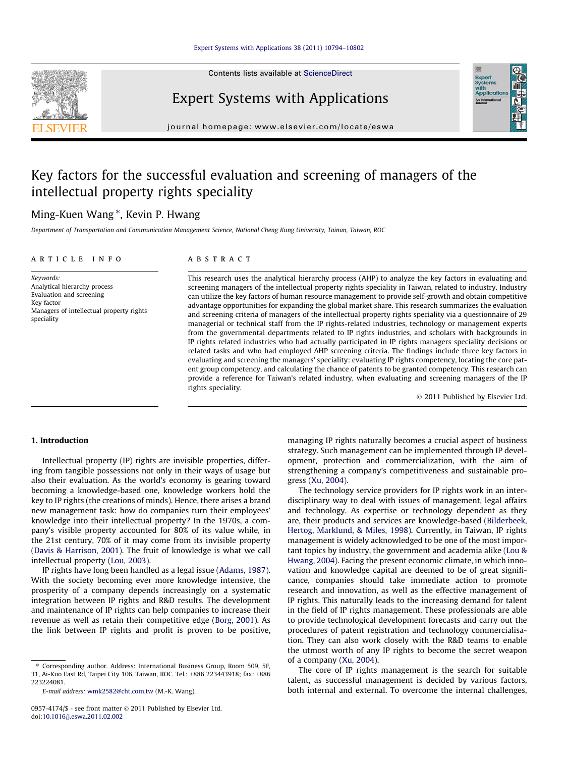Contents lists available at [ScienceDirect](http://www.sciencedirect.com/science/journal/09574174)



Expert Systems with Applications



journal homepage: [www.elsevier.com/locate/eswa](http://www.elsevier.com/locate/eswa)

## Key factors for the successful evaluation and screening of managers of the intellectual property rights speciality

## Ming-Kuen Wang \*, Kevin P. Hwang

Department of Transportation and Communication Management Science, National Cheng Kung University, Tainan, Taiwan, ROC

#### article info

Keywords: Analytical hierarchy process Evaluation and screening Key factor Managers of intellectual property rights speciality

#### **ABSTRACT**

This research uses the analytical hierarchy process (AHP) to analyze the key factors in evaluating and screening managers of the intellectual property rights speciality in Taiwan, related to industry. Industry can utilize the key factors of human resource management to provide self-growth and obtain competitive advantage opportunities for expanding the global market share. This research summarizes the evaluation and screening criteria of managers of the intellectual property rights speciality via a questionnaire of 29 managerial or technical staff from the IP rights-related industries, technology or management experts from the governmental departments related to IP rights industries, and scholars with backgrounds in IP rights related industries who had actually participated in IP rights managers speciality decisions or related tasks and who had employed AHP screening criteria. The findings include three key factors in evaluating and screening the managers' speciality: evaluating IP rights competency, locating the core patent group competency, and calculating the chance of patents to be granted competency. This research can provide a reference for Taiwan's related industry, when evaluating and screening managers of the IP rights speciality.

© 2011 Published by Elsevier Ltd.

## 1. Introduction

Intellectual property (IP) rights are invisible properties, differing from tangible possessions not only in their ways of usage but also their evaluation. As the world's economy is gearing toward becoming a knowledge-based one, knowledge workers hold the key to IP rights (the creations of minds). Hence, there arises a brand new management task: how do companies turn their employees' knowledge into their intellectual property? In the 1970s, a company's visible property accounted for 80% of its value while, in the 21st century, 70% of it may come from its invisible property ([Davis & Harrison, 2001](#page--1-0)). The fruit of knowledge is what we call intellectual property [\(Lou, 2003](#page--1-0)).

IP rights have long been handled as a legal issue [\(Adams, 1987\)](#page--1-0). With the society becoming ever more knowledge intensive, the prosperity of a company depends increasingly on a systematic integration between IP rights and R&D results. The development and maintenance of IP rights can help companies to increase their revenue as well as retain their competitive edge ([Borg, 2001\)](#page--1-0). As the link between IP rights and profit is proven to be positive,

⇑ Corresponding author. Address: International Business Group, Room 509, 5F, 31, Ai-Kuo East Rd, Taipei City 106, Taiwan, ROC. Tel.: +886 223443918; fax: +886 223224081.

E-mail address: [wmk2582@cht.com.tw](mailto:wmk2582@cht.com.tw) (M.-K. Wang).

managing IP rights naturally becomes a crucial aspect of business strategy. Such management can be implemented through IP development, protection and commercialization, with the aim of strengthening a company's competitiveness and sustainable progress ([Xu, 2004\)](#page--1-0).

The technology service providers for IP rights work in an interdisciplinary way to deal with issues of management, legal affairs and technology. As expertise or technology dependent as they are, their products and services are knowledge-based ([Bilderbeek,](#page--1-0) [Hertog, Marklund, & Miles, 1998](#page--1-0)). Currently, in Taiwan, IP rights management is widely acknowledged to be one of the most important topics by industry, the government and academia alike [\(Lou &](#page--1-0) [Hwang, 2004](#page--1-0)). Facing the present economic climate, in which innovation and knowledge capital are deemed to be of great significance, companies should take immediate action to promote research and innovation, as well as the effective management of IP rights. This naturally leads to the increasing demand for talent in the field of IP rights management. These professionals are able to provide technological development forecasts and carry out the procedures of patent registration and technology commercialisation. They can also work closely with the R&D teams to enable the utmost worth of any IP rights to become the secret weapon of a company ([Xu, 2004\)](#page--1-0).

The core of IP rights management is the search for suitable talent, as successful management is decided by various factors, both internal and external. To overcome the internal challenges,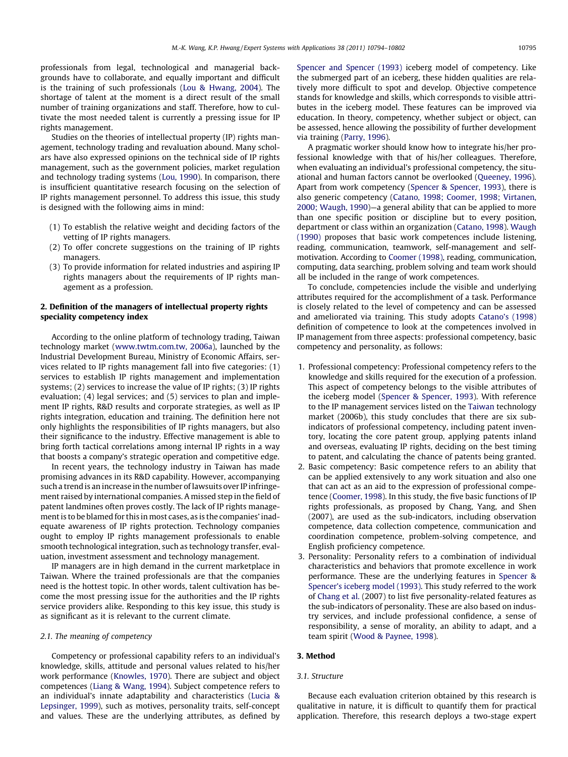professionals from legal, technological and managerial backgrounds have to collaborate, and equally important and difficult is the training of such professionals [\(Lou & Hwang, 2004\)](#page--1-0). The shortage of talent at the moment is a direct result of the small number of training organizations and staff. Therefore, how to cultivate the most needed talent is currently a pressing issue for IP rights management.

Studies on the theories of intellectual property (IP) rights management, technology trading and revaluation abound. Many scholars have also expressed opinions on the technical side of IP rights management, such as the government policies, market regulation and technology trading systems ([Lou, 1990](#page--1-0)). In comparison, there is insufficient quantitative research focusing on the selection of IP rights management personnel. To address this issue, this study is designed with the following aims in mind:

- (1) To establish the relative weight and deciding factors of the vetting of IP rights managers.
- (2) To offer concrete suggestions on the training of IP rights managers.
- (3) To provide information for related industries and aspiring IP rights managers about the requirements of IP rights management as a profession.

## 2. Definition of the managers of intellectual property rights speciality competency index

According to the online platform of technology trading, Taiwan technology market ([www.twtm.com.tw, 2006a\)](#page--1-0), launched by the Industrial Development Bureau, Ministry of Economic Affairs, services related to IP rights management fall into five categories: (1) services to establish IP rights management and implementation systems; (2) services to increase the value of IP rights; (3) IP rights evaluation; (4) legal services; and (5) services to plan and implement IP rights, R&D results and corporate strategies, as well as IP rights integration, education and training. The definition here not only highlights the responsibilities of IP rights managers, but also their significance to the industry. Effective management is able to bring forth tactical correlations among internal IP rights in a way that boosts a company's strategic operation and competitive edge.

In recent years, the technology industry in Taiwan has made promising advances in its R&D capability. However, accompanying such a trend is an increase in the number of lawsuits over IP infringement raised by international companies. A missed step in the field of patent landmines often proves costly. The lack of IP rights management is to be blamed for this in most cases, as is the companies' inadequate awareness of IP rights protection. Technology companies ought to employ IP rights management professionals to enable smooth technological integration, such as technology transfer, evaluation, investment assessment and technology management.

IP managers are in high demand in the current marketplace in Taiwan. Where the trained professionals are that the companies need is the hottest topic. In other words, talent cultivation has become the most pressing issue for the authorities and the IP rights service providers alike. Responding to this key issue, this study is as significant as it is relevant to the current climate.

## 2.1. The meaning of competency

Competency or professional capability refers to an individual's knowledge, skills, attitude and personal values related to his/her work performance [\(Knowles, 1970](#page--1-0)). There are subject and object competences ([Liang & Wang, 1994\)](#page--1-0). Subject competence refers to an individual's innate adaptability and characteristics ([Lucia &](#page--1-0) [Lepsinger, 1999\)](#page--1-0), such as motives, personality traits, self-concept and values. These are the underlying attributes, as defined by

[Spencer and Spencer \(1993\)](#page--1-0) iceberg model of competency. Like the submerged part of an iceberg, these hidden qualities are relatively more difficult to spot and develop. Objective competence stands for knowledge and skills, which corresponds to visible attributes in the iceberg model. These features can be improved via education. In theory, competency, whether subject or object, can be assessed, hence allowing the possibility of further development via training ([Parry, 1996](#page--1-0)).

A pragmatic worker should know how to integrate his/her professional knowledge with that of his/her colleagues. Therefore, when evaluating an individual's professional competency, the situational and human factors cannot be overlooked [\(Queeney, 1996\)](#page--1-0). Apart from work competency ([Spencer & Spencer, 1993\)](#page--1-0), there is also generic competency [\(Catano, 1998; Coomer, 1998; Virtanen,](#page--1-0) [2000; Waugh, 1990\)](#page--1-0)—a general ability that can be applied to more than one specific position or discipline but to every position, department or class within an organization [\(Catano, 1998](#page--1-0)). [Waugh](#page--1-0) [\(1990\)](#page--1-0) proposes that basic work competences include listening, reading, communication, teamwork, self-management and selfmotivation. According to [Coomer \(1998\)](#page--1-0), reading, communication, computing, data searching, problem solving and team work should all be included in the range of work competences.

To conclude, competencies include the visible and underlying attributes required for the accomplishment of a task. Performance is closely related to the level of competency and can be assessed and ameliorated via training. This study adopts [Catano's \(1998\)](#page--1-0) definition of competence to look at the competences involved in IP management from three aspects: professional competency, basic competency and personality, as follows:

- 1. Professional competency: Professional competency refers to the knowledge and skills required for the execution of a profession. This aspect of competency belongs to the visible attributes of the iceberg model [\(Spencer & Spencer, 1993\)](#page--1-0). With reference to the IP management services listed on the [Taiwan](#page--1-0) technology market (2006b), this study concludes that there are six subindicators of professional competency, including patent inventory, locating the core patent group, applying patents inland and overseas, evaluating IP rights, deciding on the best timing to patent, and calculating the chance of patents being granted.
- 2. Basic competency: Basic competence refers to an ability that can be applied extensively to any work situation and also one that can act as an aid to the expression of professional competence ([Coomer, 1998\)](#page--1-0). In this study, the five basic functions of IP rights professionals, as proposed by Chang, Yang, and Shen (2007), are used as the sub-indicators, including observation competence, data collection competence, communication and coordination competence, problem-solving competence, and English proficiency competence.
- 3. Personality: Personality refers to a combination of individual characteristics and behaviors that promote excellence in work performance. These are the underlying features in [Spencer &](#page--1-0) [Spencer's iceberg model \(1993\)](#page--1-0). This study referred to the work of [Chang et al.](#page--1-0) (2007) to list five personality-related features as the sub-indicators of personality. These are also based on industry services, and include professional confidence, a sense of responsibility, a sense of morality, an ability to adapt, and a team spirit ([Wood & Paynee, 1998\)](#page--1-0).

## 3. Method

### 3.1. Structure

Because each evaluation criterion obtained by this research is qualitative in nature, it is difficult to quantify them for practical application. Therefore, this research deploys a two-stage expert